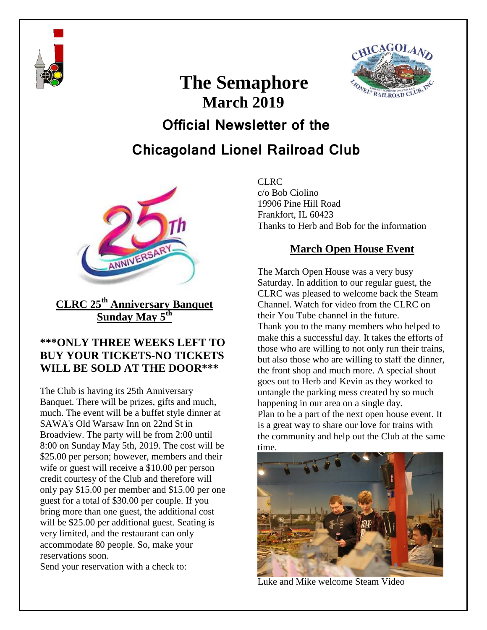

# **CAGOLA** FONEL® RAILROA

# **March 2019 Official Newsletter of the Chicagoland Lionel Railroad Club**

**The Semaphore**



**CLRC 25th Anniversary Banquet Sunday May 5th** 

#### **\*\*\*ONLY THREE WEEKS LEFT TO BUY YOUR TICKETS-NO TICKETS WILL BE SOLD AT THE DOOR\*\*\***

The Club is having its 25th Anniversary Banquet. There will be prizes, gifts and much, much. The event will be a buffet style dinner at SAWA's Old Warsaw Inn on 22nd St in Broadview. The party will be from 2:00 until 8:00 on Sunday May 5th, 2019. The cost will be \$25.00 per person; however, members and their wife or guest will receive a \$10.00 per person credit courtesy of the Club and therefore will only pay \$15.00 per member and \$15.00 per one guest for a total of \$30.00 per couple. If you bring more than one guest, the additional cost will be \$25.00 per additional guest. Seating is very limited, and the restaurant can only accommodate 80 people. So, make your reservations soon.

Send your reservation with a check to:

CLRC c/o Bob Ciolino 19906 Pine Hill Road Frankfort, IL 60423 Thanks to Herb and Bob for the information

# **March Open House Event**

The March Open House was a very busy Saturday. In addition to our regular guest, the CLRC was pleased to welcome back the Steam Channel. Watch for video from the CLRC on their You Tube channel in the future. Thank you to the many members who helped to make this a successful day. It takes the efforts of those who are willing to not only run their trains, but also those who are willing to staff the dinner, the front shop and much more. A special shout goes out to Herb and Kevin as they worked to untangle the parking mess created by so much happening in our area on a single day. Plan to be a part of the next open house event. It is a great way to share our love for trains with the community and help out the Club at the same time.



Luke and Mike welcome Steam Video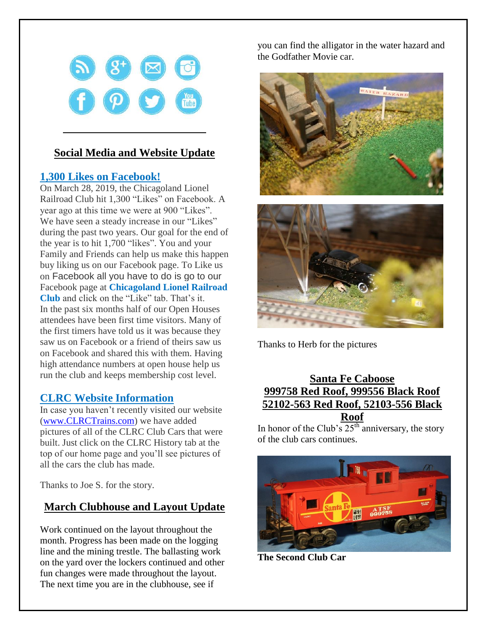

### **Social Media and Website Update**

#### **1,300 Likes on Facebook!**

On March 28, 2019, the Chicagoland Lionel Railroad Club hit 1,300 "Likes" on Facebook. A year ago at this time we were at 900 "Likes". We have seen a steady increase in our "Likes" during the past two years. Our goal for the end of the year is to hit 1,700 "likes". You and your Family and Friends can help us make this happen buy liking us on our Facebook page. To Like us on Facebook all you have to do is go to our Facebook page at **Chicagoland Lionel Railroad Club** and click on the "Like" tab. That's it. In the past six months half of our Open Houses attendees have been first time visitors. Many of the first timers have told us it was because they saw us on Facebook or a friend of theirs saw us on Facebook and shared this with them. Having high attendance numbers at open house help us run the club and keeps membership cost level.

#### **CLRC Website Information**

In case you haven't recently visited our website [\(www.CLRCTrains.com\)](www.CLRCTrains.com) we have added pictures of all of the CLRC Club Cars that were built. Just click on the CLRC History tab at the top of our home page and you'll see pictures of all the cars the club has made.

Thanks to Joe S. for the story.

# **March Clubhouse and Layout Update**

Work continued on the layout throughout the month. Progress has been made on the logging line and the mining trestle. The ballasting work on the yard over the lockers continued and other fun changes were made throughout the layout. The next time you are in the clubhouse, see if

you can find the alligator in the water hazard and the Godfather Movie car.





Thanks to Herb for the pictures

#### **Santa Fe Caboose 999758 Red Roof, 999556 Black Roof 52102-563 Red Roof, 52103-556 Black Roof**

In honor of the Club's  $25<sup>th</sup>$  anniversary, the story of the club cars continues.



**The Second Club Car**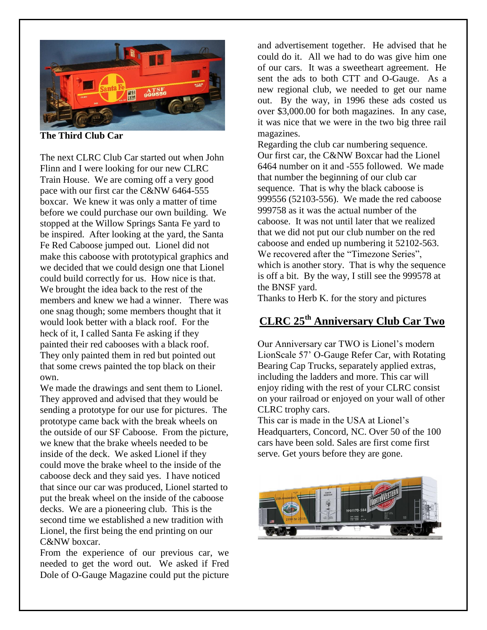

**The Third Club Car**

The next CLRC Club Car started out when John Flinn and I were looking for our new CLRC Train House. We are coming off a very good pace with our first car the C&NW 6464-555 boxcar. We knew it was only a matter of time before we could purchase our own building. We stopped at the Willow Springs Santa Fe yard to be inspired. After looking at the yard, the Santa Fe Red Caboose jumped out. Lionel did not make this caboose with prototypical graphics and we decided that we could design one that Lionel could build correctly for us. How nice is that. We brought the idea back to the rest of the members and knew we had a winner. There was one snag though; some members thought that it would look better with a black roof. For the heck of it, I called Santa Fe asking if they painted their red cabooses with a black roof. They only painted them in red but pointed out that some crews painted the top black on their own.

We made the drawings and sent them to Lionel. They approved and advised that they would be sending a prototype for our use for pictures. The prototype came back with the break wheels on the outside of our SF Caboose. From the picture, we knew that the brake wheels needed to be inside of the deck. We asked Lionel if they could move the brake wheel to the inside of the caboose deck and they said yes. I have noticed that since our car was produced, Lionel started to put the break wheel on the inside of the caboose decks. We are a pioneering club. This is the second time we established a new tradition with Lionel, the first being the end printing on our C&NW boxcar.

From the experience of our previous car, we needed to get the word out. We asked if Fred Dole of O-Gauge Magazine could put the picture

and advertisement together. He advised that he could do it. All we had to do was give him one of our cars. It was a sweetheart agreement. He sent the ads to both CTT and O-Gauge. As a new regional club, we needed to get our name out. By the way, in 1996 these ads costed us over \$3,000.00 for both magazines. In any case, it was nice that we were in the two big three rail magazines.

Regarding the club car numbering sequence. Our first car, the C&NW Boxcar had the Lionel 6464 number on it and -555 followed. We made that number the beginning of our club car sequence. That is why the black caboose is 999556 (52103-556). We made the red caboose 999758 as it was the actual number of the caboose. It was not until later that we realized that we did not put our club number on the red caboose and ended up numbering it 52102-563. We recovered after the "Timezone Series", which is another story. That is why the sequence is off a bit. By the way, I still see the 999578 at the BNSF yard.

Thanks to Herb K. for the story and pictures

# **CLRC 25th Anniversary Club Car Two**

Our Anniversary car TWO is Lionel's modern LionScale 57' O-Gauge Refer Car, with Rotating Bearing Cap Trucks, separately applied extras, including the ladders and more. This car will enjoy riding with the rest of your CLRC consist on your railroad or enjoyed on your wall of other CLRC trophy cars.

This car is made in the USA at Lionel's Headquarters, Concord, NC. Over 50 of the 100 cars have been sold. Sales are first come first serve. Get yours before they are gone.